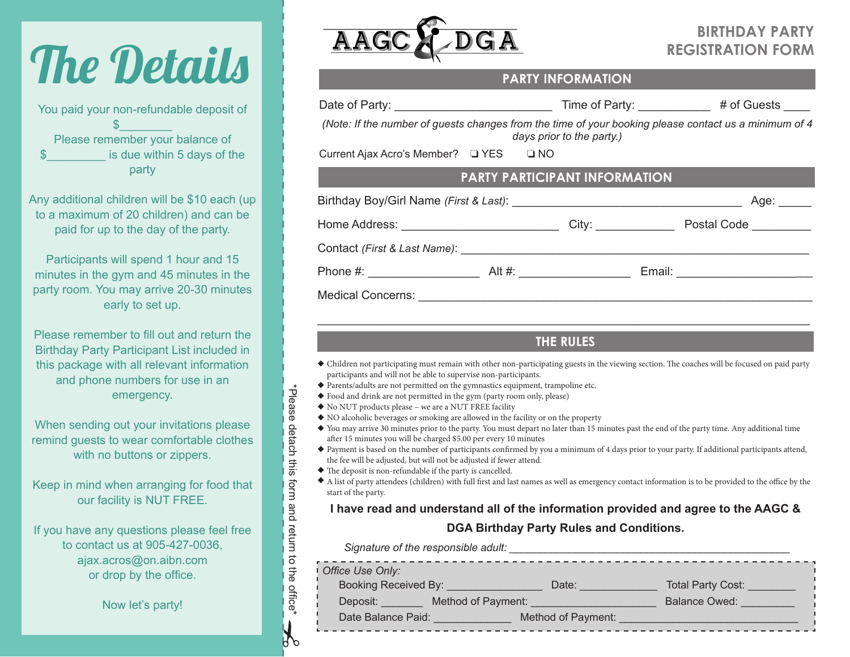



## **BIRTHDAY PARTY REGISTRATION FORM**

## **PARTY INFORMATION**

|                                                                                                                                                                                                                                                                                                                                                                                                                                                                                                                                                                                                                                                                                                                                                                                                                                                                                                                                                                                                                                                                                                                                                                                                                       | <b>PARIT INFORMATION</b>                        |                                                |
|-----------------------------------------------------------------------------------------------------------------------------------------------------------------------------------------------------------------------------------------------------------------------------------------------------------------------------------------------------------------------------------------------------------------------------------------------------------------------------------------------------------------------------------------------------------------------------------------------------------------------------------------------------------------------------------------------------------------------------------------------------------------------------------------------------------------------------------------------------------------------------------------------------------------------------------------------------------------------------------------------------------------------------------------------------------------------------------------------------------------------------------------------------------------------------------------------------------------------|-------------------------------------------------|------------------------------------------------|
|                                                                                                                                                                                                                                                                                                                                                                                                                                                                                                                                                                                                                                                                                                                                                                                                                                                                                                                                                                                                                                                                                                                                                                                                                       |                                                 | Time of Party: _____________ # of Guests _____ |
| (Note: If the number of guests changes from the time of your booking please contact us a minimum of 4                                                                                                                                                                                                                                                                                                                                                                                                                                                                                                                                                                                                                                                                                                                                                                                                                                                                                                                                                                                                                                                                                                                 | days prior to the party.)                       |                                                |
| Current Ajax Acro's Member? □ YES                                                                                                                                                                                                                                                                                                                                                                                                                                                                                                                                                                                                                                                                                                                                                                                                                                                                                                                                                                                                                                                                                                                                                                                     | $\square$ NO                                    |                                                |
|                                                                                                                                                                                                                                                                                                                                                                                                                                                                                                                                                                                                                                                                                                                                                                                                                                                                                                                                                                                                                                                                                                                                                                                                                       | <b>PARTY PARTICIPANT INFORMATION</b>            |                                                |
|                                                                                                                                                                                                                                                                                                                                                                                                                                                                                                                                                                                                                                                                                                                                                                                                                                                                                                                                                                                                                                                                                                                                                                                                                       |                                                 |                                                |
| Home Address: ________________________________City: _______________________Postal Code ____________                                                                                                                                                                                                                                                                                                                                                                                                                                                                                                                                                                                                                                                                                                                                                                                                                                                                                                                                                                                                                                                                                                                   |                                                 |                                                |
|                                                                                                                                                                                                                                                                                                                                                                                                                                                                                                                                                                                                                                                                                                                                                                                                                                                                                                                                                                                                                                                                                                                                                                                                                       |                                                 |                                                |
| Phone #: __________________________Alt #: ____________________________Email: _______________________                                                                                                                                                                                                                                                                                                                                                                                                                                                                                                                                                                                                                                                                                                                                                                                                                                                                                                                                                                                                                                                                                                                  |                                                 |                                                |
|                                                                                                                                                                                                                                                                                                                                                                                                                                                                                                                                                                                                                                                                                                                                                                                                                                                                                                                                                                                                                                                                                                                                                                                                                       |                                                 |                                                |
|                                                                                                                                                                                                                                                                                                                                                                                                                                                                                                                                                                                                                                                                                                                                                                                                                                                                                                                                                                                                                                                                                                                                                                                                                       |                                                 |                                                |
|                                                                                                                                                                                                                                                                                                                                                                                                                                                                                                                                                                                                                                                                                                                                                                                                                                                                                                                                                                                                                                                                                                                                                                                                                       |                                                 |                                                |
|                                                                                                                                                                                                                                                                                                                                                                                                                                                                                                                                                                                                                                                                                                                                                                                                                                                                                                                                                                                                                                                                                                                                                                                                                       | <b>THE RULES</b>                                |                                                |
| • Children not participating must remain with other non-participating guests in the viewing section. The coaches will be focused on paid party<br>participants and will not be able to supervise non-participants.<br>◆ Parents/adults are not permitted on the gymnastics equipment, trampoline etc.<br>◆ Food and drink are not permitted in the gym (party room only, please)<br>No NUT products please - we are a NUT FREE facility<br>• NO alcoholic beverages or smoking are allowed in the facility or on the property<br>◆ You may arrive 30 minutes prior to the party. You must depart no later than 15 minutes past the end of the party time. Any additional time<br>after 15 minutes you will be charged \$5.00 per every 10 minutes<br>◆ Payment is based on the number of participants confirmed by you a minimum of 4 days prior to your party. If additional participants attend,<br>the fee will be adjusted, but will not be adjusted if fewer attend.<br>• The deposit is non-refundable if the party is cancelled.<br>A list of party attendees (children) with full first and last names as well as emergency contact information is to be provided to the office by the<br>start of the party. |                                                 |                                                |
| I have read and understand all of the information provided and agree to the AAGC &                                                                                                                                                                                                                                                                                                                                                                                                                                                                                                                                                                                                                                                                                                                                                                                                                                                                                                                                                                                                                                                                                                                                    |                                                 |                                                |
|                                                                                                                                                                                                                                                                                                                                                                                                                                                                                                                                                                                                                                                                                                                                                                                                                                                                                                                                                                                                                                                                                                                                                                                                                       | <b>DGA Birthday Party Rules and Conditions.</b> |                                                |
|                                                                                                                                                                                                                                                                                                                                                                                                                                                                                                                                                                                                                                                                                                                                                                                                                                                                                                                                                                                                                                                                                                                                                                                                                       |                                                 |                                                |
| Office Use Only:                                                                                                                                                                                                                                                                                                                                                                                                                                                                                                                                                                                                                                                                                                                                                                                                                                                                                                                                                                                                                                                                                                                                                                                                      |                                                 |                                                |
| Booking Received By: ________________________Date: _____________________Total Party Cost: _________                                                                                                                                                                                                                                                                                                                                                                                                                                                                                                                                                                                                                                                                                                                                                                                                                                                                                                                                                                                                                                                                                                                   |                                                 |                                                |
| Deposit: Method of Payment: Nethod School and Theorem 2014<br>Date Balance Paid: Method of Payment:                                                                                                                                                                                                                                                                                                                                                                                                                                                                                                                                                                                                                                                                                                                                                                                                                                                                                                                                                                                                                                                                                                                   |                                                 | Balance Owed:                                  |
|                                                                                                                                                                                                                                                                                                                                                                                                                                                                                                                                                                                                                                                                                                                                                                                                                                                                                                                                                                                                                                                                                                                                                                                                                       |                                                 |                                                |